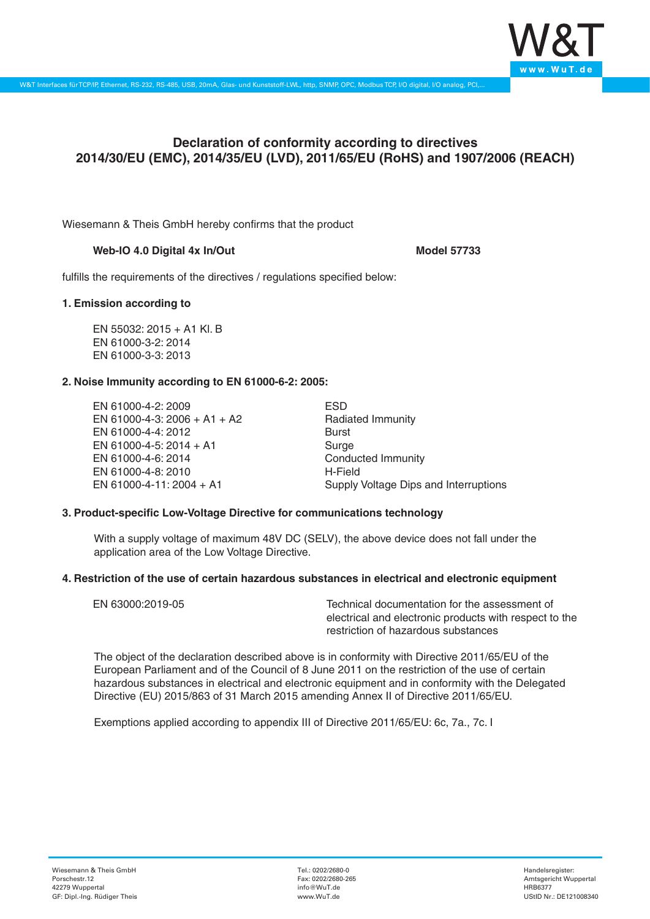

# **Declaration of conformity according to directives 2014/30/EU (EMC), 2014/35/EU (LVD), 2011/65/EU (RoHS) and 1907/2006 (REACH)**

Wiesemann & Theis GmbH hereby confirms that the product

## Web-IO 4.0 Digital 4x In/Out
absolution and the Model 57733

fulfills the requirements of the directives / regulations specified below:

## **1. Emission according to**

EN 55032: 2015 + A1 Kl. B EN 61000-3-2: 2014 EN 61000-3-3: 2013

## **2. Noise Immunity according to EN 61000-6-2: 2005:**

EN 61000-4-2: 2009 EN 61000-4-3: 2006 + A1 + A2 EN 61000-4-4: 2012 EN 61000-4-5: 2014 + A1 EN 61000-4-6: 2014 EN 61000-4-8: 2010 EN 61000-4-11: 2004 + A1

ESD Radiated Immunity Burst Surge Conducted Immunity H-Field Supply Voltage Dips and Interruptions

### **3. Product-specific Low-Voltage Directive for communications technology**

With a supply voltage of maximum 48V DC (SELV), the above device does not fall under the application area of the Low Voltage Directive.

### **4. Restriction of the use of certain hazardous substances in electrical and electronic equipment**

| EN 63000:2019-05 | Technical documentation for the assessment of          |
|------------------|--------------------------------------------------------|
|                  | electrical and electronic products with respect to the |
|                  | restriction of hazardous substances                    |

The object of the declaration described above is in conformity with Directive 2011/65/EU of the European Parliament and of the Council of 8 June 2011 on the restriction of the use of certain hazardous substances in electrical and electronic equipment and in conformity with the Delegated Directive (EU) 2015/863 of 31 March 2015 amending Annex II of Directive 2011/65/EU.

Exemptions applied according to appendix III of Directive 2011/65/EU: 6c, 7a., 7c. I